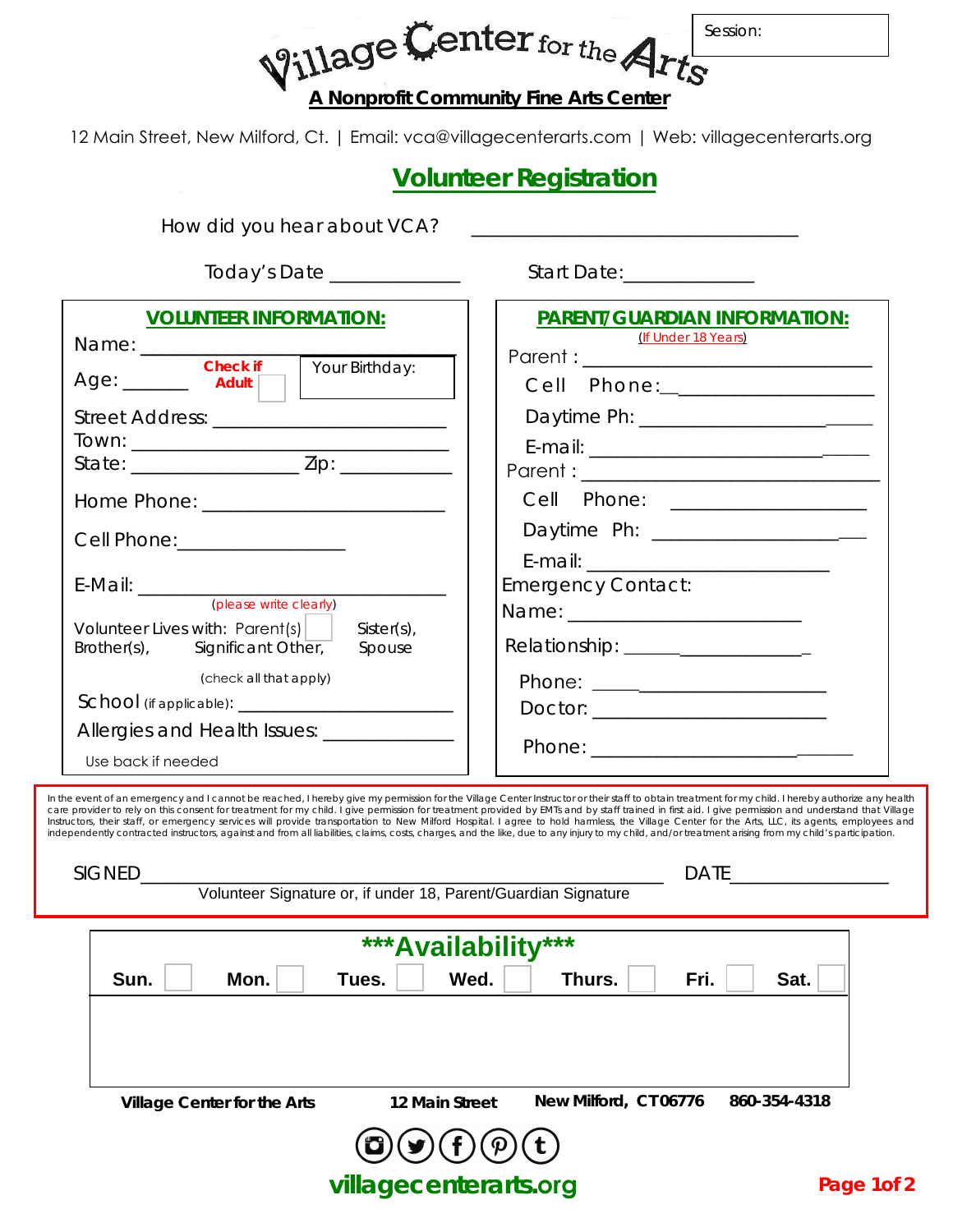Village Center for the Ar Session: **A Nonprofit Community Fine Arts Center**

12 Main Street, New Milford, Ct. | Email: vca@villagecenterarts.com | Web: villagecenterarts.org

## **Volunteer Registration**

How did you hear about VCA?

Today's Date \_\_\_\_\_\_\_\_\_\_\_\_\_\_ Start Date:\_\_\_\_\_\_\_\_\_\_\_\_\_\_

| <b>VOLUNTEER INFORMATION:</b><br>Name: Check if Your Birthday:<br>Age: ________ Adult    <br>Street Address: _________________________<br>Cell Phone: __________________<br>(please write clearly)<br>Volunteer Lives with: $Parent(s)$<br>$Sister(s)$ ,<br>Brother(s), Significant Other,<br>Spouse<br>(check all that apply)<br>Allergies and Health Issues: _____________ | <b>PARENT/GUARDIAN INFORMATION:</b><br>(If Under 18 Years)<br>Cell Phone: 2008<br>Cell Phone: __________________<br>Daytime Ph: ______________________<br><b>Emergency Contact:</b><br>Relationship: ____________________ |
|------------------------------------------------------------------------------------------------------------------------------------------------------------------------------------------------------------------------------------------------------------------------------------------------------------------------------------------------------------------------------|---------------------------------------------------------------------------------------------------------------------------------------------------------------------------------------------------------------------------|
| Use back if needed<br>he event of an emergency and Lcannot be reached. I hereby give my permission for the Village Center Instructor or their staff to obtain treatment for my child. I hereby authorize any healt                                                                                                                                                           |                                                                                                                                                                                                                           |

In the event of an emergency and I cannot be reached, I hereby give my permission for the Village Center Instructor or their staff to obtain treatment for my child. I hereby authorize any health<br>care provider to rely on th independently contracted instructors, against and from all liabilities, claims, costs, charges, and the like, due to any injury to my child, and/or treatment arising from my child's participation.

**Village Center for the Arts 12 Main Street New Milford, CT 06776 860-354-4318 \*\*\*Availability\*\*\* Sun.** Mon. Tues. Wed. Thurs. Fri. Sat. SIGNED\_\_\_\_\_\_\_\_\_\_\_\_\_\_\_\_\_\_\_\_\_\_\_\_\_\_\_\_\_\_\_\_\_\_\_\_\_\_\_\_\_\_\_\_\_\_\_\_\_\_\_\_\_\_\_\_ DATE\_\_\_\_\_\_\_\_\_\_\_\_\_\_\_\_\_ Volunteer Signature or, if under 18, Parent/Guardian Signature